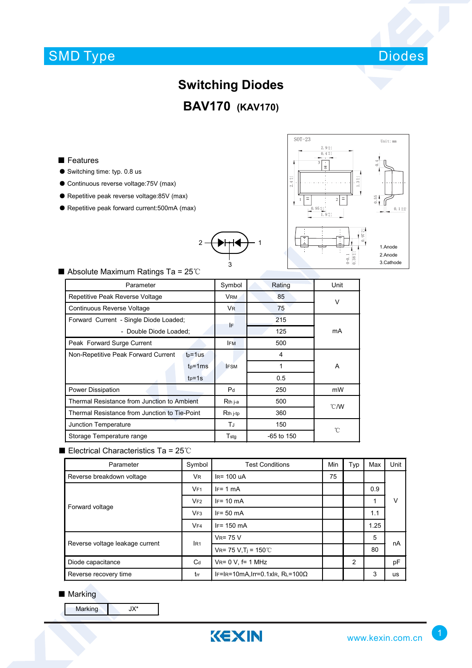## SMD Type



# **Switching Diodes**

**BAV170 (KAV170)**

2 ─<del>( ▶├┤◀ ) ─</del> 1

3

- Features
- Switching time: typ. 0.8 us
- Continuous reverse voltage:75V (max)
- Repetitive peak reverse voltage:85V (max)
- Repetitive peak forward current:500mA (max)



#### ■ Absolute Maximum Ratings Ta = 25℃

| Parameter                                     |             | Symbol                | Rating       | Unit           |  |
|-----------------------------------------------|-------------|-----------------------|--------------|----------------|--|
| Repetitive Peak Reverse Voltage               |             | <b>VRM</b>            | 85           | $\vee$         |  |
| Continuous Reverse Voltage                    |             | <b>V<sub>R</sub></b>  | 75           |                |  |
| Forward Current - Single Diode Loaded;        |             | IF                    | 215          | mA             |  |
| - Double Diode Loaded;                        |             |                       | 125          |                |  |
| Peak Forward Surge Current                    |             | <b>IFM</b>            | 500          |                |  |
| Non-Repetitive Peak Forward Current           | $tp = 1$ us |                       | 4            |                |  |
|                                               | $tp = 1ms$  | <b>IFSM</b>           | 1            | A              |  |
|                                               | $tp=1s$     |                       | 0.5          |                |  |
| Power Dissipation                             |             | P <sub>d</sub>        | 250          | mW             |  |
| Thermal Resistance from Junction to Ambient   |             | $Rth$ j-a             | 500          | $^{\circ}$ C/W |  |
| Thermal Resistance from Junction to Tie-Point |             | $Rth$ <sub>i-tp</sub> | 360          |                |  |
| Junction Temperature                          |             | TJ                    | 150          | °C             |  |
| Storage Temperature range                     |             | $T_{\sf stq}$         | $-65$ to 150 |                |  |

#### ■ Electrical Characteristics Ta = 25℃

| Parameter                       | Symbol          | <b>Test Conditions</b>                 |    | Typ            | Max  | Unit |  |
|---------------------------------|-----------------|----------------------------------------|----|----------------|------|------|--|
| Reverse breakdown voltage       | <b>VR</b>       | $IR = 100$ uA                          | 75 |                |      | ν    |  |
| Forward voltage                 | VF1             | $IF = 1 mA$                            |    |                | 0.9  |      |  |
|                                 | VF2             | $IF = 10 \text{ mA}$                   |    |                | 1    |      |  |
|                                 | VF3             | $IF = 50 mA$                           |    |                | 1.1  |      |  |
|                                 | VFA             | $IF = 150 mA$                          |    |                | 1.25 |      |  |
| Reverse voltage leakage current | IR <sub>1</sub> | $V_R = 75 V$                           |    |                | 5    | nA   |  |
|                                 |                 | $V_{R} = 75 V, T_{j} = 150°C$          |    |                | 80   |      |  |
| Diode capacitance               | $C_d$           | $V_R = 0 V$ , f= 1 MHz                 |    | $\overline{2}$ |      | pF   |  |
| Reverse recovery time           | trr             | $IF=IR=10mA, Irr=0.1xIR, RL=100\Omega$ |    |                | 3    | us   |  |

#### ■ Marking

Marking JX\*

KEXIN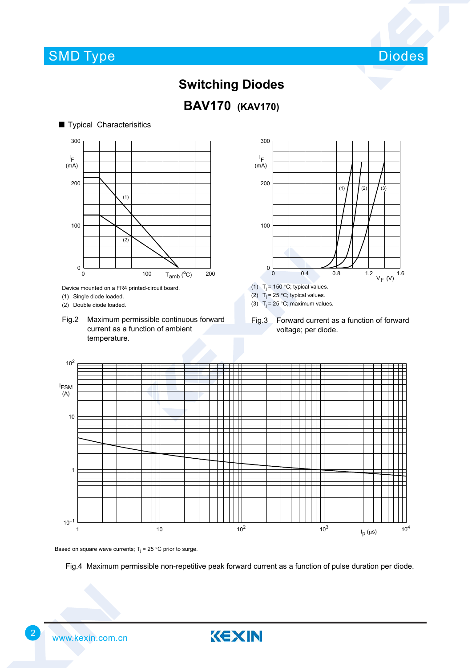

### **Switching Diodes**



#### ■ Typical Characterisitics  $\sim$   $\sim$   $\sim$   $\sim$ 0 100 I F (mA) 200 300  $\overline{0}$ 100 200  $T_{amb} (°C)$  $(1)$ (2)

Device mounted on a FR4 printed-circuit board.

(1) Single diode loaded.

(2) Double diode loaded.

Fig.2 Maximum permissible continuous forward current as a function of ambient temperature.



(3)  $T_i = 25 \degree C$ ; maximum values.

Fig.3 Forward current as a function of forward voltage; per diode.



Based on square wave currents;  $T_i = 25$  °C prior to surge.

Fig.4 Maximum permissible non-repetitive peak forward current as a function of pulse duration per diode.

KEXIN



2